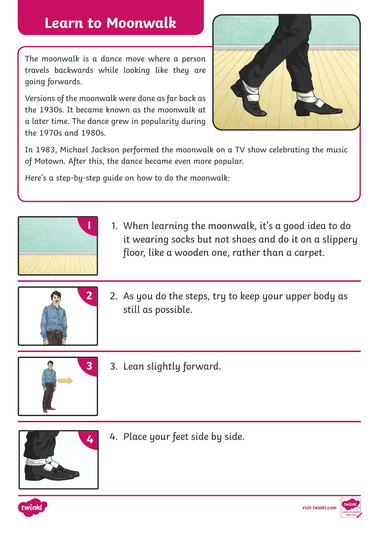## **Learn to Moonwalk**

The moonwalk is a dance move where a person travels backwards while looking like they are going forwards.

Versions of the moonwalk were done as far back as the 1930s. It became known as the moonwalk at a later time. The dance grew in popularity during the 1970s and 1980s.



In 1983, Michael Jackson performed the moonwalk on a TV show celebrating the music of Motown. After this, the dance became even more popular.

Here's a step-by-step guide on how to do the moonwalk:



**1** 1. When learning the moonwalk, it's a good idea to do it wearing socks but not shoes and do it on a slippery floor, like a wooden one, rather than a carpet.



**2** 2. As you do the steps, try to keep your upper body as still as possible.



**3** 3. Lean slightly forward.



4. Place your feet side by side.